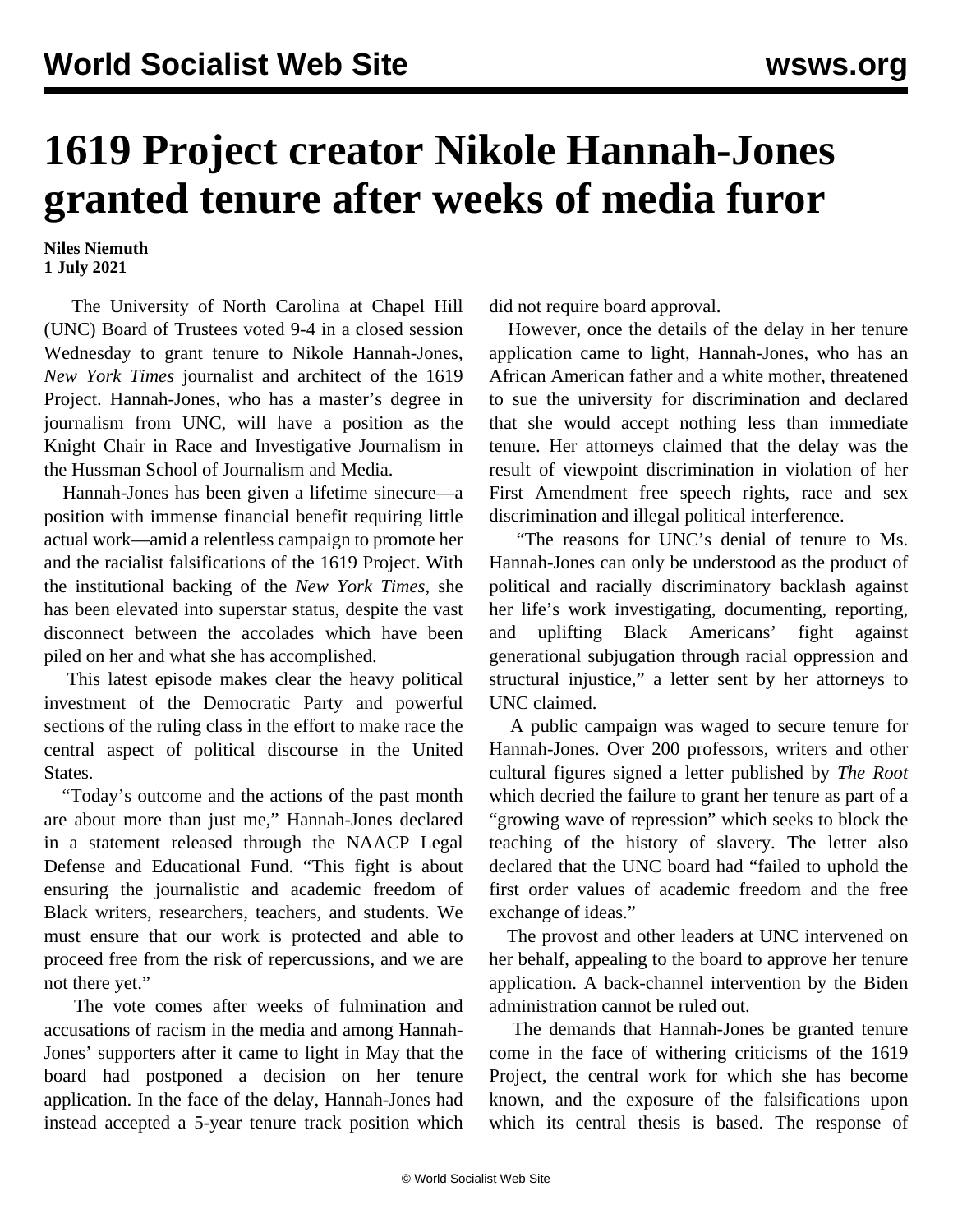## **1619 Project creator Nikole Hannah-Jones granted tenure after weeks of media furor**

## **Niles Niemuth 1 July 2021**

 The University of North Carolina at Chapel Hill (UNC) Board of Trustees voted 9-4 in a closed session Wednesday to grant tenure to Nikole Hannah-Jones, *New York Times* journalist and architect of the 1619 Project. Hannah-Jones, who has a master's degree in journalism from UNC, will have a position as the Knight Chair in Race and Investigative Journalism in the Hussman School of Journalism and Media.

 Hannah-Jones has been given a lifetime sinecure—a position with immense financial benefit requiring little actual work—amid a relentless campaign to promote her and the racialist falsifications of the 1619 Project. With the institutional backing of the *New York Times*, she has been elevated into superstar status, despite the vast disconnect between the accolades which have been piled on her and what she has accomplished.

 This latest episode makes clear the heavy political investment of the Democratic Party and powerful sections of the ruling class in the effort to make race the central aspect of political discourse in the United States.

 "Today's outcome and the actions of the past month are about more than just me," Hannah-Jones declared in a statement released through the NAACP Legal Defense and Educational Fund. "This fight is about ensuring the journalistic and academic freedom of Black writers, researchers, teachers, and students. We must ensure that our work is protected and able to proceed free from the risk of repercussions, and we are not there yet."

 The vote comes after weeks of fulmination and accusations of racism in the media and among Hannah-Jones' supporters after it came to light in May that the board had postponed a decision on her tenure application. In the face of the delay, Hannah-Jones had instead accepted a 5-year tenure track position which did not require board approval.

 However, once the details of the delay in her tenure application came to light, Hannah-Jones, who has an African American father and a white mother, threatened to sue the university for discrimination and declared that she would accept nothing less than immediate tenure. Her attorneys claimed that the delay was the result of viewpoint discrimination in violation of her First Amendment free speech rights, race and sex discrimination and illegal political interference.

 "The reasons for UNC's denial of tenure to Ms. Hannah-Jones can only be understood as the product of political and racially discriminatory backlash against her life's work investigating, documenting, reporting, and uplifting Black Americans' fight against generational subjugation through racial oppression and structural injustice," a letter sent by her attorneys to UNC claimed.

 A public campaign was waged to secure tenure for Hannah-Jones. Over 200 professors, writers and other cultural figures signed a letter published by *The Root* which decried the failure to grant her tenure as part of a "growing wave of repression" which seeks to block the teaching of the history of slavery. The letter also declared that the UNC board had "failed to uphold the first order values of academic freedom and the free exchange of ideas."

 The provost and other leaders at UNC intervened on her behalf, appealing to the board to approve her tenure application. A back-channel intervention by the Biden administration cannot be ruled out.

 The demands that Hannah-Jones be granted tenure come in the face of withering criticisms of the 1619 Project, the central work for which she has become known, and the exposure of the falsifications upon which its central thesis is based. The response of